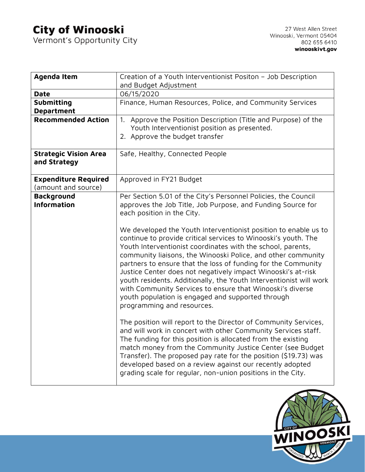## **City of Winooski**<br>Vermont's Opportunity City

|                              | Creation of a Youth Interventionist Positon - Job Description                                                                                                                                                                                                                                                                                                                                                                                                                                                                                                                                               |
|------------------------------|-------------------------------------------------------------------------------------------------------------------------------------------------------------------------------------------------------------------------------------------------------------------------------------------------------------------------------------------------------------------------------------------------------------------------------------------------------------------------------------------------------------------------------------------------------------------------------------------------------------|
|                              | and Budget Adjustment                                                                                                                                                                                                                                                                                                                                                                                                                                                                                                                                                                                       |
| <b>Date</b>                  | 06/15/2020                                                                                                                                                                                                                                                                                                                                                                                                                                                                                                                                                                                                  |
| Submitting                   | Finance, Human Resources, Police, and Community Services                                                                                                                                                                                                                                                                                                                                                                                                                                                                                                                                                    |
| <b>Department</b>            |                                                                                                                                                                                                                                                                                                                                                                                                                                                                                                                                                                                                             |
| <b>Recommended Action</b>    | 1. Approve the Position Description (Title and Purpose) of the                                                                                                                                                                                                                                                                                                                                                                                                                                                                                                                                              |
|                              | Youth Interventionist position as presented.                                                                                                                                                                                                                                                                                                                                                                                                                                                                                                                                                                |
|                              | 2. Approve the budget transfer                                                                                                                                                                                                                                                                                                                                                                                                                                                                                                                                                                              |
|                              |                                                                                                                                                                                                                                                                                                                                                                                                                                                                                                                                                                                                             |
| <b>Strategic Vision Area</b> | Safe, Healthy, Connected People                                                                                                                                                                                                                                                                                                                                                                                                                                                                                                                                                                             |
| and Strategy                 |                                                                                                                                                                                                                                                                                                                                                                                                                                                                                                                                                                                                             |
|                              |                                                                                                                                                                                                                                                                                                                                                                                                                                                                                                                                                                                                             |
| <b>Expenditure Required</b>  | Approved in FY21 Budget                                                                                                                                                                                                                                                                                                                                                                                                                                                                                                                                                                                     |
| (amount and source)          |                                                                                                                                                                                                                                                                                                                                                                                                                                                                                                                                                                                                             |
| <b>Background</b>            | Per Section 5.01 of the City's Personnel Policies, the Council                                                                                                                                                                                                                                                                                                                                                                                                                                                                                                                                              |
| <b>Information</b>           | approves the Job Title, Job Purpose, and Funding Source for                                                                                                                                                                                                                                                                                                                                                                                                                                                                                                                                                 |
|                              | each position in the City.                                                                                                                                                                                                                                                                                                                                                                                                                                                                                                                                                                                  |
|                              |                                                                                                                                                                                                                                                                                                                                                                                                                                                                                                                                                                                                             |
|                              | We developed the Youth Interventionist position to enable us to                                                                                                                                                                                                                                                                                                                                                                                                                                                                                                                                             |
|                              | continue to provide critical services to Winooski's youth. The                                                                                                                                                                                                                                                                                                                                                                                                                                                                                                                                              |
|                              | Youth Interventionist coordinates with the school, parents,                                                                                                                                                                                                                                                                                                                                                                                                                                                                                                                                                 |
|                              | community liaisons, the Winooski Police, and other community                                                                                                                                                                                                                                                                                                                                                                                                                                                                                                                                                |
|                              | partners to ensure that the loss of funding for the Community                                                                                                                                                                                                                                                                                                                                                                                                                                                                                                                                               |
|                              | Justice Center does not negatively impact Winooski's at-risk                                                                                                                                                                                                                                                                                                                                                                                                                                                                                                                                                |
|                              | youth residents. Additionally, the Youth Interventionist will work                                                                                                                                                                                                                                                                                                                                                                                                                                                                                                                                          |
|                              |                                                                                                                                                                                                                                                                                                                                                                                                                                                                                                                                                                                                             |
|                              |                                                                                                                                                                                                                                                                                                                                                                                                                                                                                                                                                                                                             |
|                              |                                                                                                                                                                                                                                                                                                                                                                                                                                                                                                                                                                                                             |
|                              |                                                                                                                                                                                                                                                                                                                                                                                                                                                                                                                                                                                                             |
|                              |                                                                                                                                                                                                                                                                                                                                                                                                                                                                                                                                                                                                             |
|                              |                                                                                                                                                                                                                                                                                                                                                                                                                                                                                                                                                                                                             |
|                              |                                                                                                                                                                                                                                                                                                                                                                                                                                                                                                                                                                                                             |
|                              |                                                                                                                                                                                                                                                                                                                                                                                                                                                                                                                                                                                                             |
|                              |                                                                                                                                                                                                                                                                                                                                                                                                                                                                                                                                                                                                             |
|                              |                                                                                                                                                                                                                                                                                                                                                                                                                                                                                                                                                                                                             |
|                              |                                                                                                                                                                                                                                                                                                                                                                                                                                                                                                                                                                                                             |
|                              |                                                                                                                                                                                                                                                                                                                                                                                                                                                                                                                                                                                                             |
|                              | with Community Services to ensure that Winooski's diverse<br>youth population is engaged and supported through<br>programming and resources.<br>The position will report to the Director of Community Services,<br>and will work in concert with other Community Services staff.<br>The funding for this position is allocated from the existing<br>match money from the Community Justice Center (see Budget<br>Transfer). The proposed pay rate for the position (\$19.73) was<br>developed based on a review against our recently adopted<br>grading scale for regular, non-union positions in the City. |